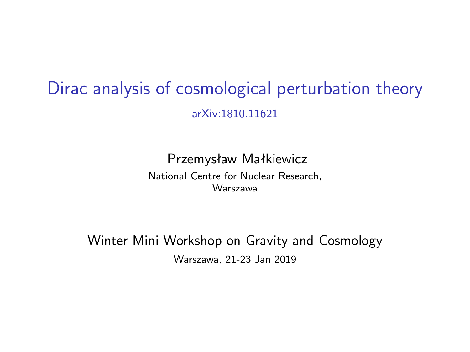## Dirac analysis of cosmological perturbation theory arXiv:1810.11621

Przemysław Małkiewicz National Centre for Nuclear Research, Warszawa

Winter Mini Workshop on Gravity and Cosmology Warszawa, 21-23 Jan 2019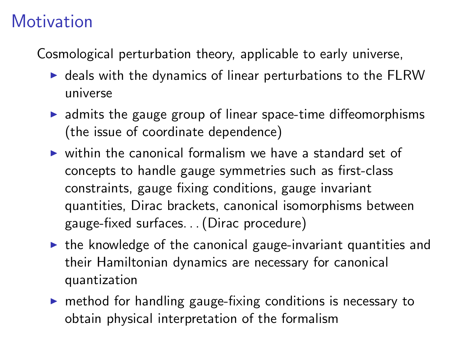## **Motivation**

Cosmological perturbation theory, applicable to early universe,

- $\triangleright$  deals with the dynamics of linear perturbations to the FLRW universe
- $\triangleright$  admits the gauge group of linear space-time diffeomorphisms (the issue of coordinate dependence)
- $\triangleright$  within the canonical formalism we have a standard set of concepts to handle gauge symmetries such as first-class constraints, gauge fixing conditions, gauge invariant quantities, Dirac brackets, canonical isomorphisms between gauge-fixed surfaces. . . (Dirac procedure)
- $\triangleright$  the knowledge of the canonical gauge-invariant quantities and their Hamiltonian dynamics are necessary for canonical quantization
- $\triangleright$  method for handling gauge-fixing conditions is necessary to obtain physical interpretation of the formalism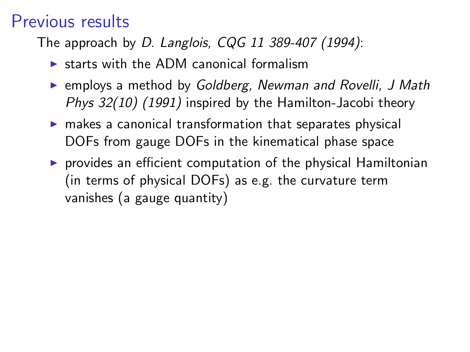### Previous results

The approach by *D. Langlois, CQG 11 389-407 (1994)*:

- $\triangleright$  starts with the ADM canonical formalism
- **EXA** employs a method by *Goldberg, Newman and Rovelli, J Math Phys 32(10) (1991)* inspired by the Hamilton-Jacobi theory
- $\triangleright$  makes a canonical transformation that separates physical DOFs from gauge DOFs in the kinematical phase space
- $\triangleright$  provides an efficient computation of the physical Hamiltonian (in terms of physical DOFs) as e.g. the curvature term vanishes (a gauge quantity)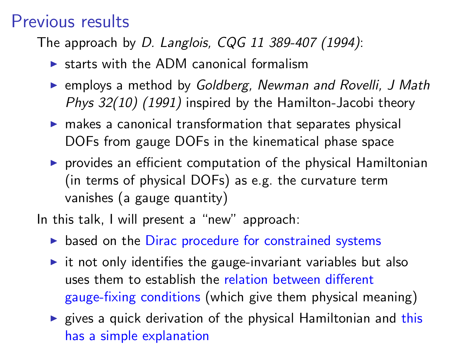#### Previous results

The approach by *D. Langlois, CQG 11 389-407 (1994)*:

- $\triangleright$  starts with the ADM canonical formalism
- **EXA** employs a method by *Goldberg, Newman and Rovelli, J Math Phys 32(10) (1991)* inspired by the Hamilton-Jacobi theory
- $\triangleright$  makes a canonical transformation that separates physical DOFs from gauge DOFs in the kinematical phase space
- $\triangleright$  provides an efficient computation of the physical Hamiltonian (in terms of physical DOFs) as e.g. the curvature term vanishes (a gauge quantity)

In this talk, I will present a "new" approach:

- $\triangleright$  based on the Dirac procedure for constrained systems
- $\triangleright$  it not only identifies the gauge-invariant variables but also uses them to establish the relation between different gauge-fixing conditions (which give them physical meaning)
- $\triangleright$  gives a quick derivation of the physical Hamiltonian and this has a simple explanation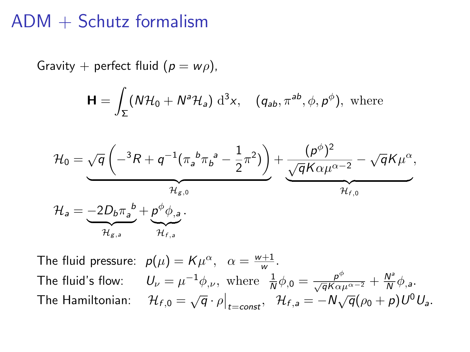#### ADM + Schutz formalism

Gravity + perfect fluid  $(p = w\rho)$ ,

$$
\mathbf{H} = \int_{\Sigma} (N\mathcal{H}_0 + N^a \mathcal{H}_a) d^3x, \quad (q_{ab}, \pi^{ab}, \phi, p^{\phi}), \text{ where}
$$

$$
\mathcal{H}_0 = \underbrace{\sqrt{q} \left( -{}^3R + q^{-1} (\pi_a{}^b \pi_b{}^a - \frac{1}{2} \pi^2) \right)}_{\mathcal{H}_{g,0}} + \underbrace{\frac{(p^{\phi})^2}{\sqrt{q} K \alpha \mu^{\alpha-2}} - \sqrt{q} K \mu^{\alpha}}_{\mathcal{H}_{f,0}},
$$
\n
$$
\mathcal{H}_a = \underbrace{-2D_b \pi_a{}^b}_{\mathcal{H}_{g,a}} + \underbrace{p^{\phi} \phi_{a,a}}_{\mathcal{H}_{f,a}}.
$$

The fluid pressure:  $p(\mu) = K\mu^{\alpha}, \alpha = \frac{w+1}{w}$ . The fluid's flow:  $U_{\nu} = \mu^{-1} \phi_{,\nu}$ , where  $\frac{1}{N} \phi_{,0} = \frac{\rho^{\phi}}{\sqrt{q} K \alpha \mu^{\alpha-2}} + \frac{N^3}{N}$  $\frac{N^2}{N}\phi_{,a}$ . The Hamiltonian:  $\mathcal{H}_{f,0} = \sqrt{q} \cdot \rho \big|_{t=const}, \quad \mathcal{H}_{f,a} = -N \sqrt{q} (\rho_0 + p) U^0 U_a.$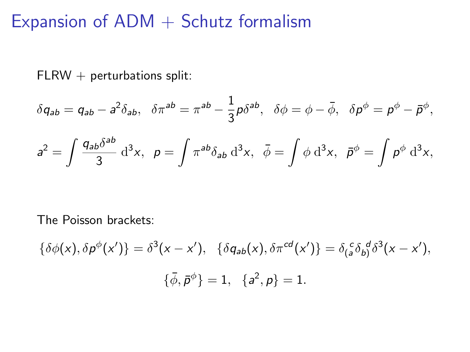### Expansion of  $ADM + Schutz$  formalism

 $FLRW + perturbations split:$ 

$$
\delta q_{ab}=q_{ab}-a^2\delta_{ab},\ \ \delta\pi^{ab}=\pi^{ab}-\frac{1}{3}p\delta^{ab},\ \ \delta\phi=\phi-\bar{\phi},\ \ \delta p^{\phi}=p^{\phi}-\bar{p}^{\phi},
$$

$$
a^2 = \int \frac{q_{ab}\delta^{ab}}{3} d^3x, \quad p = \int \pi^{ab}\delta_{ab} d^3x, \quad \bar{\phi} = \int \phi d^3x, \quad \bar{p}^{\phi} = \int p^{\phi} d^3x,
$$

The Poisson brackets:

$$
\{\delta\phi(x), \delta p^{\phi}(x')\} = \delta^{3}(x - x'), \quad \{\delta q_{ab}(x), \delta \pi^{cd}(x')\} = \delta_{(a}^{c} \delta_{b)}^{d} \delta^{3}(x - x'),
$$

$$
\{\bar{\phi}, \bar{p}^{\phi}\} = 1, \quad \{a^{2}, p\} = 1.
$$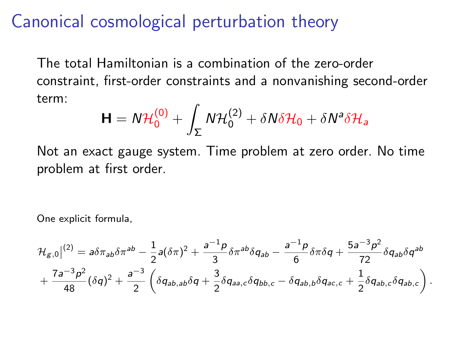#### Canonical cosmological perturbation theory

The total Hamiltonian is a combination of the zero-order constraint, first-order constraints and a nonvanishing second-order term:

$$
\mathbf{H} = N\mathcal{H}_0^{(0)} + \int_{\Sigma} N\mathcal{H}_0^{(2)} + \delta N\delta\mathcal{H}_0 + \delta N^a \delta\mathcal{H}_a
$$

Not an exact gauge system. Time problem at zero order. No time problem at first order.

One explicit formula,

$$
\mathcal{H}_{g,0}|^{(2)} = a\delta\pi_{ab}\delta\pi^{ab} - \frac{1}{2}a(\delta\pi)^2 + \frac{a^{-1}p}{3}\delta\pi^{ab}\delta q_{ab} - \frac{a^{-1}p}{6}\delta\pi\delta q + \frac{5a^{-3}p^2}{72}\delta q_{ab}\delta q^{ab} + \frac{7a^{-3}p^2}{48}(\delta q)^2 + \frac{a^{-3}}{2}\left(\delta q_{ab,ab}\delta q + \frac{3}{2}\delta q_{aa,c}\delta q_{bb,c} - \delta q_{ab,b}\delta q_{ac,c} + \frac{1}{2}\delta q_{ab,c}\delta q_{ab,c}\right).
$$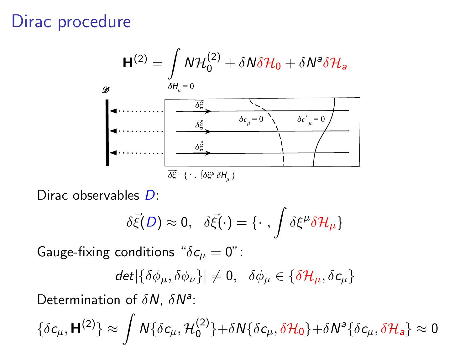### Dirac procedure



Dirac observables D:

$$
\delta \vec{\xi}(D) \approx 0, \quad \delta \vec{\xi}(\cdot) = \{\cdot \, , \int \delta \xi^{\mu} \delta \mathcal{H}_{\mu}\}\
$$

Gauge-fixing conditions " $\delta c_{\mu} = 0$ ":

$$
\text{det} \vert \{ \delta \phi_\mu, \delta \phi_\nu \} \vert \neq 0, \ \ \delta \phi_\mu \in \{ \delta \mathcal{H}_\mu, \delta \mathsf{c}_\mu \}
$$

Determination of  $\delta N$ ,  $\delta N^a$ :

 $\{\delta c_\mu, \mathbf{H}^{(2)}\} \approx \int N\{\delta c_\mu, \mathcal{H}_0^{(2)}\}$  $\{\delta \mathcal{C}_\mu,\delta \mathcal{H}_0\}+\delta \mathcal{N}^{\mathsf{a}}\{\delta \mathcal{C}_\mu,\delta \mathcal{H}_{\mathsf{a}}\}\approx 0,$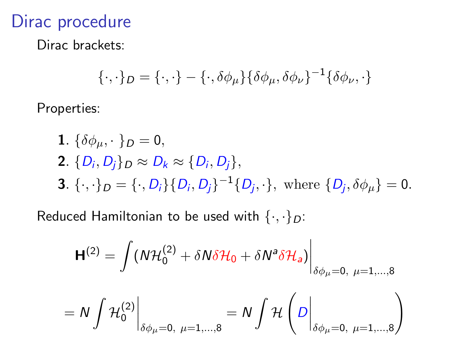### Dirac procedure

Dirac brackets:

$$
\{\cdot,\cdot\}_D = \{\cdot,\cdot\} - \{\cdot,\delta\phi_\mu\} \{\delta\phi_\mu,\delta\phi_\nu\}^{-1} \{\delta\phi_\nu,\cdot\}
$$

Properties:

**1.** 
$$
\{\delta \phi_{\mu}, \cdot \}_D = 0
$$
,  
\n**2.**  $\{D_i, D_j\}_D \approx D_k \approx \{D_i, D_j\}$ ,  
\n**3.**  $\{\cdot, \cdot\}_D = \{\cdot, D_i\} \{D_i, D_j\}^{-1} \{D_j, \cdot\}$ , where  $\{D_j, \delta \phi_{\mu}\} = 0$ .

Reduced Hamiltonian to be used with  $\{\cdot,\cdot\}_D$ :

$$
\mathbf{H}^{(2)} = \int (N\mathcal{H}_0^{(2)} + \delta N\delta\mathcal{H}_0 + \delta N^a \delta\mathcal{H}_a) \bigg|_{\delta\phi_\mu = 0, \ \mu = 1,\dots,8}
$$

$$
=N\int\mathcal{H}_{0}^{(2)}\bigg|_{\delta\phi_{\mu}=0,\ \mu=1,...,8}=N\int\mathcal{H}\left(D\bigg|_{\delta\phi_{\mu}=0,\ \mu=1,...,8}\right)
$$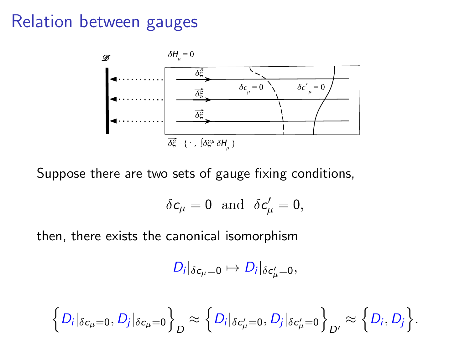### Relation between gauges



Suppose there are two sets of gauge fixing conditions,

$$
\delta c_{\mu}=0\ \ {\rm and}\ \ \delta c'_{\mu}=0,
$$

then, there exists the canonical isomorphism

$$
D_i|_{\delta c_\mu=0}\mapsto D_i|_{\delta c'_\mu=0},
$$

$$
\left\{D_i|_{\delta c_\mu=0}, D_j|_{\delta c_\mu=0}\right\}_D \approx \left\{D_i|_{\delta c'_\mu=0}, D_j|_{\delta c'_\mu=0}\right\}_D \approx \left\{D_i, D_j\right\}.
$$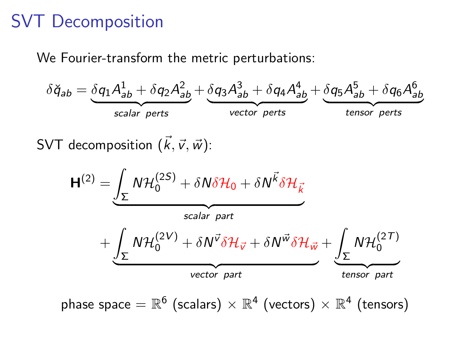## SVT Decomposition

We Fourier-transform the metric perturbations:



SVT decomposition  $(\vec{k}, \vec{v}, \vec{w})$ :

$$
H^{(2)} = \underbrace{\int_{\Sigma} N \mathcal{H}_0^{(2S)} + \delta N \delta \mathcal{H}_0 + \delta N^{\vec{k}} \delta \mathcal{H}_{\vec{k}}}_{scalar part}
$$
\n
$$
+ \underbrace{\int_{\Sigma} N \mathcal{H}_0^{(2V)} + \delta N^{\vec{v}} \delta \mathcal{H}_{\vec{v}} + \delta N^{\vec{w}} \delta \mathcal{H}_{\vec{w}}}_{vector part} + \underbrace{\int_{\Sigma} N \mathcal{H}_0^{(2T)}}_{tensor part}
$$

phase space  $=\mathbb{R}^6$  (scalars)  $\times$   $\mathbb{R}^4$  (vectors)  $\times$   $\mathbb{R}^4$  (tensors)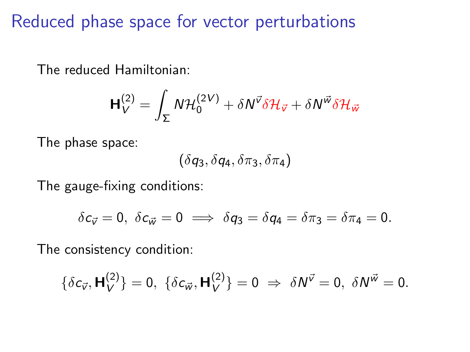Reduced phase space for vector perturbations

The reduced Hamiltonian:

$$
\mathbf{H}_{V}^{(2)} = \int_{\Sigma} N \mathcal{H}_{0}^{(2V)} + \delta N^{\vec{v}} \delta \mathcal{H}_{\vec{v}} + \delta N^{\vec{w}} \delta \mathcal{H}_{\vec{w}}
$$

The phase space:

$$
(\delta q_3, \delta q_4, \delta \pi_3, \delta \pi_4)
$$

The gauge-fixing conditions:

$$
\delta c_{\vec v}=0,\ \delta c_{\vec w}=0\implies \delta q_3=\delta q_4=\delta \pi_3=\delta \pi_4=0.
$$

The consistency condition:

$$
\{\delta c_{\vec{v}}, \mathbf{H}_V^{(2)}\}=0, \ \{\delta c_{\vec{w}}, \mathbf{H}_V^{(2)}\}=0 \ \Rightarrow \ \delta N^{\vec{v}}=0, \ \delta N^{\vec{w}}=0.
$$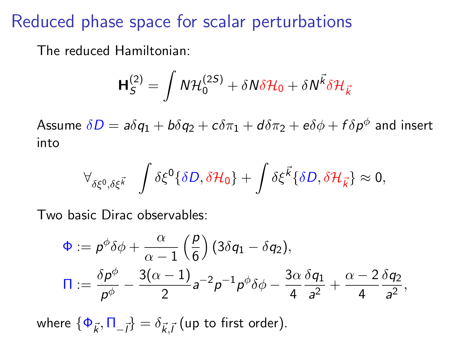### Reduced phase space for scalar perturbations

The reduced Hamiltonian:

$$
\mathbf{H}_{S}^{(2)} = \int N \mathcal{H}_{0}^{(2S)} + \delta N \delta \mathcal{H}_{0} + \delta N \vec{k} \delta \mathcal{H}_{\vec{k}}
$$

Assume  $\delta D =$   $a\delta q_1 + b\delta q_2 + c\delta \pi_1 + d\delta \pi_2 + e\delta \phi + f\delta p^{\phi}$  and insert into

$$
\forall_{\delta\xi^0,\delta\xi^{\vec{k}}} \quad \int \delta\xi^0 \{\delta D,\delta \mathcal{H}_0\} + \int \delta\xi^{\vec{k}} \{\delta D,\delta \mathcal{H}_{\vec{k}}\} \approx 0,
$$

Two basic Dirac observables:

$$
\Phi := \rho^{\phi}\delta\phi + \frac{\alpha}{\alpha - 1}\left(\frac{\rho}{6}\right)(3\delta q_1 - \delta q_2),
$$
  

$$
\Pi := \frac{\delta\rho^{\phi}}{\rho^{\phi}} - \frac{3(\alpha - 1)}{2}a^{-2}\rho^{-1}\rho^{\phi}\delta\phi - \frac{3\alpha}{4}\frac{\delta q_1}{a^2} + \frac{\alpha - 2}{4}\frac{\delta q_2}{a^2},
$$

where  $\{\Phi_{\vec{k}}, \Pi_{-\vec{l}}\} = \delta_{\vec{k},\vec{l}}$  (up to first order).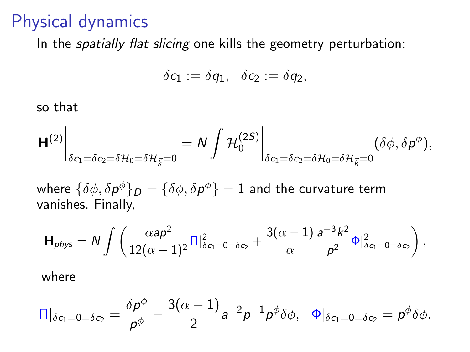#### Physical dynamics

In the *spatially flat slicing* one kills the geometry perturbation:

$$
\delta c_1:=\delta q_1,\ \ \delta c_2:=\delta q_2,
$$

so that

$$
\left.H^{(2)}\right|_{\delta c_1=\delta c_2=\delta \mathcal{H}_0=\delta \mathcal{H}_{\vec{k}}=0}=\left.N\int \mathcal{H}_0^{(2S)}\right|_{\delta c_1=\delta c_2=\delta \mathcal{H}_0=\delta \mathcal{H}_{\vec{k}}=0}(\delta \phi,\delta p^\phi),
$$

where  $\{\delta\phi,\delta{\pmb{\rho}}^\phi\}_{\pmb{D}}=\{\delta\phi,\delta{\pmb{\rho}}^\phi\}=1$  and the curvature term vanishes. Finally,

$$
\mathbf{H}_{phys} = N \int \left( \frac{\alpha a \rho^2}{12(\alpha - 1)^2} \Pi \big|_{\delta c_1 = 0 = \delta c_2}^2 + \frac{3(\alpha - 1)}{\alpha} \frac{a^{-3} k^2}{\rho^2} \Phi \big|_{\delta c_1 = 0 = \delta c_2}^2 \right),
$$

where

$$
\Pi|_{\delta c_1=0=\delta c_2}=\frac{\delta p^\phi}{p^\phi}-\frac{3(\alpha-1)}{2}a^{-2}p^{-1}p^\phi\delta\phi,\quad \Phi|_{\delta c_1=0=\delta c_2}=p^\phi\delta\phi.
$$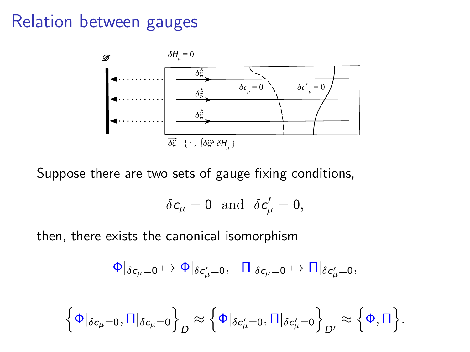### Relation between gauges



Suppose there are two sets of gauge fixing conditions,

$$
\delta c_{\mu}=0\text{ and }\delta c'_{\mu}=0,
$$

then, there exists the canonical isomorphism

$$
\Phi|_{\delta c_{\mu}=0}\mapsto \Phi|_{\delta c'_{\mu}=0},\ \ \, \Pi|_{\delta c_{\mu}=0}\mapsto \Pi|_{\delta c'_{\mu}=0},
$$

$$
\left\{\Phi|_{\delta c_{\mu}=0},\Pi|_{\delta c_{\mu}=0}\right\}_{D}\approx \left\{\Phi|_{\delta c'_{\mu}=0},\Pi|_{\delta c'_{\mu}=0}\right\}_{D'}\approx \left\{\Phi,\Pi\right\}.
$$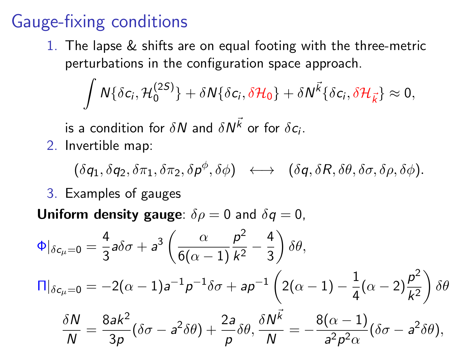## Gauge-fixing conditions

1. The lapse & shifts are on equal footing with the three-metric perturbations in the configuration space approach.

 $\int N\{\delta c_i, \mathcal{H}_0^{(2S)}\}$  $\{^{(2S)}_{0}\} + \delta N \{\delta \mathsf{c}_i, \delta \mathcal{H}_0\} + \delta N^{\vec{k}} \{\delta \mathsf{c}_i, \delta \mathcal{H}_{\vec{k}}\} \approx 0,$ 

is a condition for  $\delta N$  and  $\delta N^{\vec{k}}$  or for  $\delta c_i.$ 

2. Invertible map:

 $(\delta q_1, \delta q_2, \delta \pi_1, \delta \pi_2, \delta \rho^{\phi}, \delta \phi) \leftrightarrow (\delta q, \delta R, \delta \theta, \delta \sigma, \delta \rho, \delta \phi).$ 

3. Examples of gauges

**Uniform density gauge**:  $\delta \rho = 0$  and  $\delta q = 0$ ,

$$
\Phi|_{\delta c_{\mu}=0} = \frac{4}{3} a \delta \sigma + a^3 \left( \frac{\alpha}{6(\alpha-1)} \frac{p^2}{k^2} - \frac{4}{3} \right) \delta \theta,
$$
  

$$
\Pi|_{\delta c_{\mu}=0} = -2(\alpha-1) a^{-1} p^{-1} \delta \sigma + a p^{-1} \left( 2(\alpha-1) - \frac{1}{4} (\alpha-2) \frac{p^2}{k^2} \right) \delta \theta
$$
  

$$
\frac{\delta N}{N} = \frac{8 a k^2}{3 p} (\delta \sigma - a^2 \delta \theta) + \frac{2 a}{p} \delta \theta, \frac{\delta N^{\vec{k}}}{N} = -\frac{8(\alpha-1)}{a^2 p^2 \alpha} (\delta \sigma - a^2 \delta \theta),
$$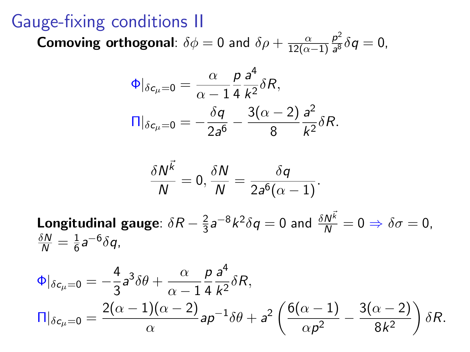### Gauge-fixing conditions II

**Comoving orthogonal**:  $\delta\phi = 0$  and  $\delta\rho + \frac{\alpha}{12(\alpha)}$  $12(\alpha-1)$  $p^2$  $\frac{p}{a^8}\delta q=0,$ 

 $\rightarrow$ 

$$
\Phi|_{\delta c_{\mu}=0} = \frac{\alpha}{\alpha - 1} \frac{\rho}{4} \frac{a^4}{k^2} \delta R,
$$
  

$$
\Pi|_{\delta c_{\mu}=0} = -\frac{\delta q}{2a^6} - \frac{3(\alpha - 2)}{8} \frac{a^2}{k^2} \delta R.
$$

$$
\frac{\delta N^k}{N}=0, \frac{\delta N}{N}=\frac{\delta q}{2a^6(\alpha-1)}.
$$

**Longitudinal gauge**:  $\delta R - \frac{2}{3}$  $\frac{2}{3}$ a $^{-8}$ k $^2$  $\delta q = 0$  and  $\frac{\delta N^{\vec{k}}}{N} = 0 \Rightarrow \delta \sigma = 0$ ,  $\frac{\delta N}{N}=\frac{1}{6}$  $\frac{1}{6}$ a $6\delta q$ ,

$$
\Phi|_{\delta c_{\mu}=0} = -\frac{4}{3}a^3 \delta \theta + \frac{\alpha}{\alpha - 1} \frac{p}{4} \frac{a^4}{k^2} \delta R,
$$
  

$$
\Pi|_{\delta c_{\mu}=0} = \frac{2(\alpha - 1)(\alpha - 2)}{\alpha} a p^{-1} \delta \theta + a^2 \left( \frac{6(\alpha - 1)}{\alpha p^2} - \frac{3(\alpha - 2)}{8k^2} \right) \delta R.
$$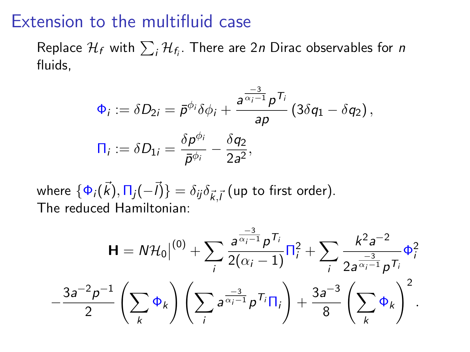#### Extension to the multifluid case

Replace  $\mathcal{H}_f$  with  $\sum_i \mathcal{H}_{f_i}.$  There are 2 $n$  Dirac observables for  $n$ fluids,

$$
\Phi_i := \delta D_{2i} = \bar{p}^{\phi_i} \delta \phi_i + \frac{a^{\frac{-3}{\alpha_i - 1}} p^{\mathsf{T}_i}}{ap} \left( 3 \delta q_1 - \delta q_2 \right),
$$
  

$$
\Pi_i := \delta D_{1i} = \frac{\delta p^{\phi_i}}{\bar{p}^{\phi_i}} - \frac{\delta q_2}{2a^2},
$$

where  $\{\Phi_i(\vec{k}),\Pi_j(-\vec{l})\}=\delta_{ij}\delta_{\vec{k},\vec{l}}$  (up to first order). The reduced Hamiltonian:

$$
\mathbf{H} = N\mathcal{H}_0\Big|^{(0)} + \sum_i \frac{a^{\frac{-3}{\alpha_i - 1}} p^{\mathsf{T}_i}}{2(\alpha_i - 1)} \Pi_i^2 + \sum_i \frac{k^2 a^{-2}}{2a^{\frac{-3}{\alpha_i - 1}} p^{\mathsf{T}_i}} \Phi_i^2
$$

$$
-\frac{3a^{-2} p^{-1}}{2} \left(\sum_k \Phi_k\right) \left(\sum_i a^{\frac{-3}{\alpha_i - 1}} p^{\mathsf{T}_i} \Pi_i\right) + \frac{3a^{-3}}{8} \left(\sum_k \Phi_k\right)^2.
$$